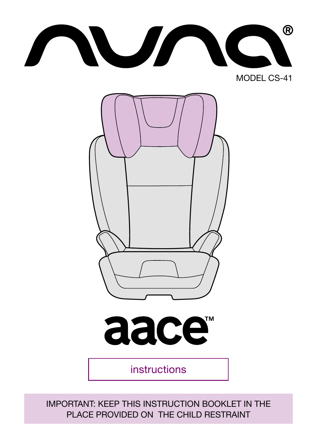$^{\circledR}$ NUN MODEL CS-41



instructions

aace<sup>®</sup>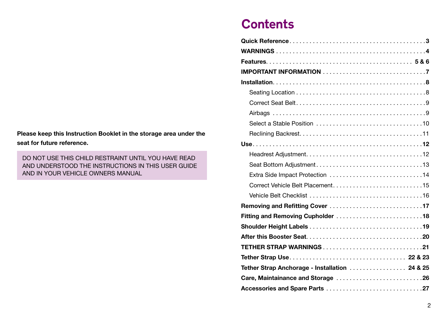#### Please keep this Instruction Booklet in the storage area under the seat for future reference.

DO NOT USE THIS CHILD RESTRAINT UNTIL YOU HAVE READ AND UNDERSTOOD THE INSTRUCTIONS IN THIS USER GUIDE AND IN YOUR VEHICLE OWNERS MANUAL

## **Contents**

| Extra Side Impact Protection 14                |
|------------------------------------------------|
|                                                |
|                                                |
|                                                |
|                                                |
|                                                |
|                                                |
|                                                |
|                                                |
| Tether Strap Anchorage - Installation  24 & 25 |
| Care, Maintainance and Storage 26              |
|                                                |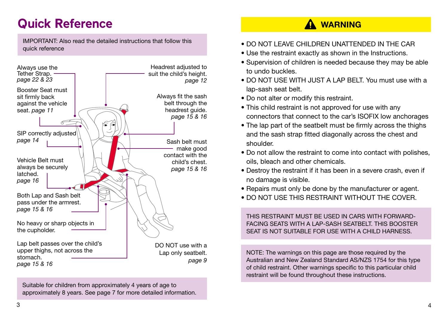# Quick Reference

IMPORTANT: Also read the detailed instructions that follow this quick reference



Suitable for children from approximately 4 years of age to approximately 8 years. See page 7 for more detailed information.

### **A** WARNING

- DO NOT LEAVE CHILDREN UNATTENDED IN THE CAR
- Use the restraint exactly as shown in the Instructions.
- Supervision of children is needed because they may be able to undo buckles.
- DO NOT USE WITH JUST A LAP BELT. You must use with a lap-sash seat belt.
- Do not alter or modify this restraint.
- This child restraint is not approved for use with any connectors that connect to the car's ISOFIX low anchorages
- The lap part of the seatbelt must be firmly across the thighs and the sash strap fitted diagonally across the chest and shoulder.
- Do not allow the restraint to come into contact with polishes, oils, bleach and other chemicals.
- Destroy the restraint if it has been in a severe crash, even if no damage is visible.
- Repairs must only be done by the manufacturer or agent.
- DO NOT USE THIS RESTRAINT WITHOUT THE COVER.

THIS RESTRAINT MUST BE USED IN CARS WITH FORWARD-FACING SEATS WITH A LAP-SASH SEATBELT. THIS BOOSTER SEAT IS NOT SUITABLE FOR USE WITH A CHILD HARNESS.

NOTE: The warnings on this page are those required by the Australian and New Zealand Standard AS/NZS 1754 for this type of child restraint. Other warnings specific to this particular child restraint will be found throughout these instructions.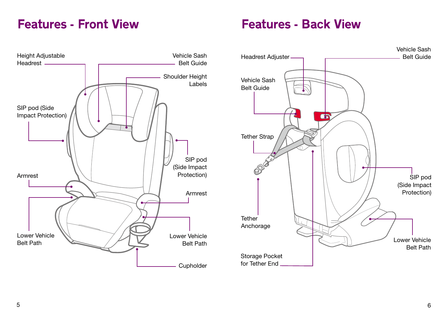### Features - Front View

### Features - Back View

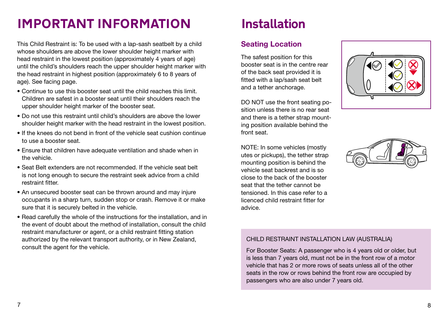# IMPORTANT INFORMATION

This Child Restraint is: To be used with a lap-sash seatbelt by a child whose shoulders are above the lower shoulder height marker with head restraint in the lowest position (approximately 4 years of age) until the child's shoulders reach the upper shoulder height marker with the head restraint in highest position (approximately 6 to 8 years of age). See facing page.

- Continue to use this booster seat until the child reaches this limit. Children are safest in a booster seat until their shoulders reach the upper shoulder height marker of the booster seat.
- Do not use this restraint until child's shoulders are above the lower shoulder height marker with the head restraint in the lowest position.
- If the knees do not bend in front of the vehicle seat cushion continue to use a booster seat.
- Ensure that children have adequate ventilation and shade when in the vehicle.
- Seat Belt extenders are not recommended. If the vehicle seat belt is not long enough to secure the restraint seek advice from a child restraint fitter.
- An unsecured booster seat can be thrown around and may injure occupants in a sharp turn, sudden stop or crash. Remove it or make sure that it is securely belted in the vehicle.
- Read carefully the whole of the instructions for the installation, and in the event of doubt about the method of installation, consult the child restraint manufacturer or agent, or a child restraint fitting station authorized by the relevant transport authority, or in New Zealand, consult the agent for the vehicle.

# Installation

### Seating Location

The safest position for this booster seat is in the centre rear of the back seat provided it is fitted with a lap/sash seat belt and a tether anchorage.

DO NOT use the front seating position unless there is no rear seat and there is a tether strap mounting position available behind the front seat.

NOTE: In some vehicles (mostly utes or pickups), the tether strap mounting position is behind the vehicle seat backrest and is so close to the back of the booster seat that the tether cannot be tensioned. In this case refer to a licenced child restraint fitter for advice.





#### CHILD RESTRAINT INSTALLATION LAW (AUSTRALIA)

For Booster Seats: A passenger who is 4 years old or older, but is less than 7 years old, must not be in the front row of a motor vehicle that has 2 or more rows of seats unless all of the other seats in the row or rows behind the front row are occupied by passengers who are also under 7 years old.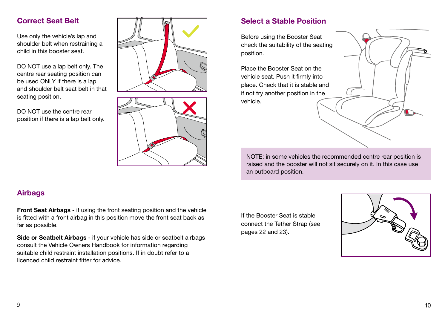### Correct Seat Belt

Use only the vehicle's lap and shoulder belt when restraining a child in this booster seat.

DO NOT use a lap belt only. The centre rear seating position can be used ONLY if there is a lap and shoulder belt seat belt in that seating position.

DO NOT use the centre rear position if there is a lap belt only.





### Select a Stable Position

Before using the Booster Seat check the suitability of the seating position.

Place the Booster Seat on the vehicle seat. Push it firmly into place. Check that it is stable and if not try another position in the vehicle.

NOTE: in some vehicles the recommended centre rear position is raised and the booster will not sit securely on it. In this case use an outboard position.

Front Seat Airbags - if using the front seating position and the vehicle is fitted with a front airbag in this position move the front seat back as far as possible.

Side or Seatbelt Airbags - if your vehicle has side or seatbelt airbags consult the Vehicle Owners Handbook for information regarding suitable child restraint installation positions. If in doubt refer to a licenced child restraint fitter for advice.

If the Booster Seat is stable connect the Tether Strap (see pages 22 and 23).



Airbags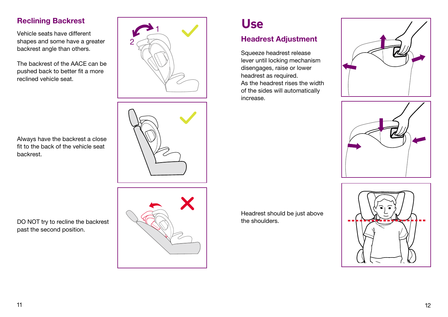### Reclining Backrest

Vehicle seats have different shapes and some have a greater backrest angle than others.

The backrest of the AACE can be pushed back to better fit a more reclined vehicle seat.





Always have the backrest a close fit to the back of the vehicle seat backrest.

DO NOT try to recline the backrest past the second position.



# Use

### Headrest Adjustment

Squeeze headrest release lever until locking mechanism disengages, raise or lower headrest as required. As the headrest rises the width of the sides will automatically increase.





Headrest should be just above the shoulders.

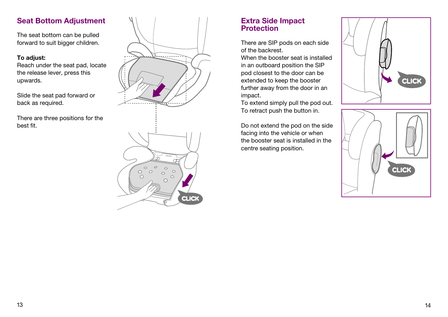### Seat Bottom Adjustment

The seat bottom can be pulled forward to suit bigger children.

#### To adjust:

Reach under the seat pad, locate the release lever, press this upwards.

Slide the seat pad forward or back as required.

There are three positions for the best fit.



### Extra Side Impact **Protection**

There are SIP pods on each side of the backrest.

When the booster seat is installed in an outboard position the SIP pod closest to the door can be extended to keep the booster further away from the door in an impact.

To extend simply pull the pod out. To retract push the button in.

Do not extend the pod on the side facing into the vehicle or when the booster seat is installed in the centre seating position.



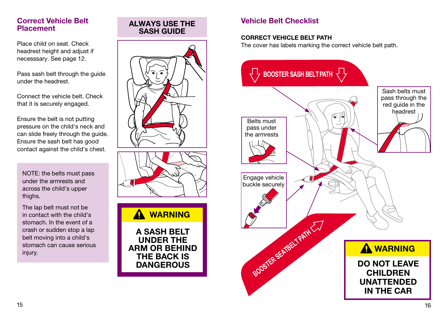### Correct Vehicle Belt Placement

Place child on seat. Check headrest height and adjust if necesssary. See page 12.

Pass sash belt through the guide under the headrest.

Connect the vehicle belt. Check that it is securely engaged.

Ensure the belt is not putting pressure on the child's neck and can slide freely through the guide. Ensure the sash belt has good contact against the child's chest.

NOTE: the belts must pass under the armrests and across the child's upper thighs.

The lap belt must not be in contact with the child's stomach. In the event of a crash or sudden stop a lap belt moving into a child's stomach can cause serious injury.

# ALWAYS USE THE SASH GUIDE





### Vehicle Belt Checklist

#### CORRECT VEHICLE BELT PATH

The cover has labels marking the correct vehicle belt path.

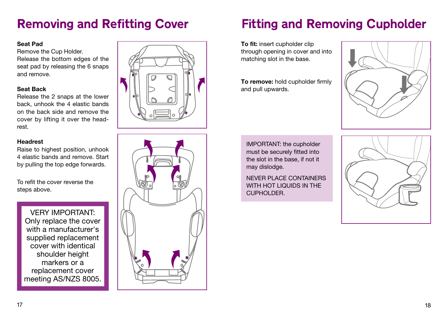## Removing and Refitting Cover

#### Seat Pad

Remove the Cup Holder. Release the bottom edges of the seat pad by releasing the 6 snaps and remove.

#### Seat Back

Release the 2 snaps at the lower back, unhook the 4 elastic bands on the back side and remove the cover by lifting it over the headrest.

#### Headrest

Raise to highest position, unhook 4 elastic bands and remove. Start by pulling the top edge forwards.

To refit the cover reverse the steps above.

VERY IMPORTANT: Only replace the cover with a manufacturer's supplied replacement cover with identical shoulder height markers or a replacement cover meeting AS/NZS 8005.





## Fitting and Removing Cupholder

To fit: insert cupholder clip through opening in cover and into matching slot in the base.

To remove: hold cupholder firmly and pull upwards.



IMPORTANT: the cupholder must be securely fitted into the slot in the base, if not it may dislodge.

NEVER PLACE CONTAINERS WITH HOT LIQUIDS IN THE CUPHOLDER.

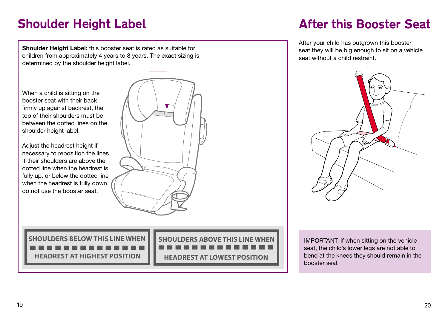# Shoulder Height Label

## After this Booster Seat

Shoulder Height Label: this booster seat is rated as suitable for children from approximately 4 years to 8 years. The exact sizing is determined by the shoulder height label.

When a child is sitting on the booster seat with their back firmly up against backrest, the top of their shoulders must be between the dotted lines on the shoulder height label.

Adjust the headrest height if necessary to reposition the lines. If their shoulders are above the dotted line when the headrest is fully up, or below the dotted line when the headrest is fully down, do not use the booster seat.



**SHOULDERS BELOW THIS LINE WHEN HEADREST AT HIGHEST POSITION**

**SHOULDERS ABOVE THIS LINE WHEN HEADREST AT LOWEST POSITION**

After your child has outgrown this booster seat they will be big enough to sit on a vehicle seat without a child restraint.



IMPORTANT: if when sitting on the vehicle seat, the child's lower legs are not able to bend at the knees they should remain in the booster seat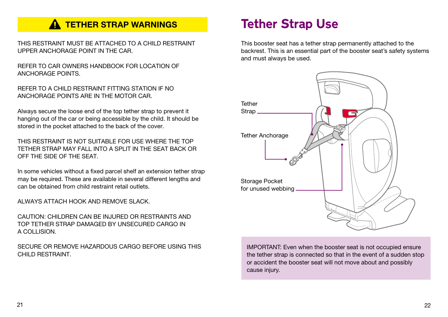### **A TETHER STRAP WARNINGS**

THIS RESTRAINT MUST BE ATTACHED TO A CHILD RESTRAINT UPPER ANCHORAGE POINT IN THE CAR.

REFER TO CAR OWNERS HANDBOOK FOR LOCATION OF ANCHORAGE POINTS.

REFER TO A CHILD RESTRAINT FITTING STATION IF NO ANCHORAGE POINTS ARE IN THE MOTOR CAR.

Always secure the loose end of the top tether strap to prevent it hanging out of the car or being accessible by the child. It should be stored in the pocket attached to the back of the cover.

THIS RESTRAINT IS NOT SUITABLE FOR USE WHERE THE TOP TETHER STRAP MAY FALL INTO A SPLIT IN THE SEAT BACK OR OFF THE SIDE OF THE SEAT.

In some vehicles without a fixed parcel shelf an extension tether strap may be required. These are available in several different lengths and can be obtained from child restraint retail outlets.

ALWAYS ATTACH HOOK AND REMOVE SLACK.

CAUTION: CHILDREN CAN BE INJURED OR RESTRAINTS AND TOP TETHER STRAP DAMAGED BY UNSECURED CARGO IN A COLLISION.

SECURE OR REMOVE HAZARDOUS CARGO BEFORE USING THIS CHILD RESTRAINT.

## Tether Strap Use

This booster seat has a tether strap permanently attached to the backrest. This is an essential part of the booster seat's safety systems and must always be used.



IMPORTANT: Even when the booster seat is not occupied ensure the tether strap is connected so that in the event of a sudden stop or accident the booster seat will not move about and possibly cause injury.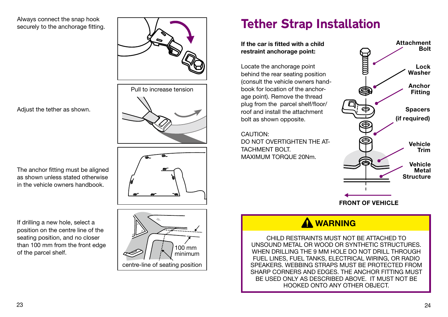#### Always connect the snap hook securely to the anchorage fitting.







## Tether Strap Installation

If the car is fitted with a child restraint anchorage point:

Locate the anchorage point behind the rear seating position (consult the vehicle owners handbook for location of the anchorage point). Remove the thread plug from the parcel shelf/floor/ roof and install the attachment bolt as shown opposite.

CAUTION: DO NOT OVERTIGHTEN THE AT-TACHMENT BOLT. MAXIMUM TORQUE 20Nm.



### A WARNING

CHILD RESTRAINTS MUST NOT BE ATTACHED TO UNSOUND METAL OR WOOD OR SYNTHETIC STRUCTURES. WHEN DRILLING THE 9 MM HOLE DO NOT DRILL THROUGH FUEL LINES, FUEL TANKS, ELECTRICAL WIRING, OR RADIO SPEAKERS. WEBBING STRAPS MUST BE PROTECTED FROM SHARP CORNERS AND EDGES. THE ANCHOR FITTING MUST BE USED ONLY AS DESCRIBED ABOVE. IT MUST NOT BE HOOKED ONTO ANY OTHER OBJECT.

Adjust the tether as shown.

The anchor fitting must be aligned as shown unless stated otherwise in the vehicle owners handbook.

If drilling a new hole, select a position on the centre line of the seating position, and no closer than 100 mm from the front edge of the parcel shelf.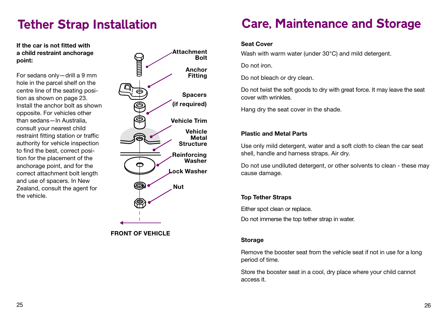## Tether Strap Installation

If the car is not fitted with a child restraint anchorage point:

For sedans only—drill a 9 mm hole in the parcel shelf on the centre line of the seating position as shown on page 23. Install the anchor bolt as shown opposite. For vehicles other than sedans—In Australia, consult your nearest child restraint fitting station or traffic authority for vehicle inspection to find the best, correct position for the placement of the anchorage point, and for the correct attachment bolt length and use of spacers. In New Zealand, consult the agent for the vehicle.



FRONT OF VEHICLE

## Care, Maintenance and Storage

#### Seat Cover

Wash with warm water (under 30°C) and mild detergent.

Do not iron.

Do not bleach or dry clean.

Do not twist the soft goods to dry with great force. It may leave the seat cover with wrinkles.

Hang dry the seat cover in the shade.

#### Plastic and Metal Parts

Use only mild detergent, water and a soft cloth to clean the car seat shell, handle and harness straps. Air dry.

Do not use undiluted detergent, or other solvents to clean - these may cause damage.

#### Top Tether Straps

Either spot clean or replace.

Do not immerse the top tether strap in water.

#### Storage

Remove the booster seat from the vehicle seat if not in use for a long period of time.

Store the booster seat in a cool, dry place where your child cannot access it.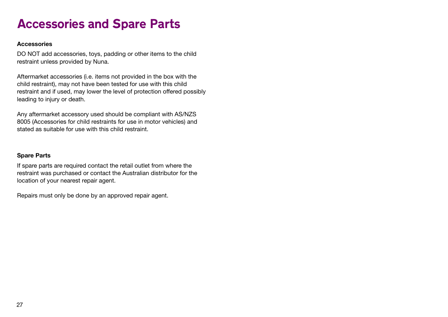### Accessories and Spare Parts

#### Accessories

DO NOT add accessories, toys, padding or other items to the child restraint unless provided by Nuna.

Aftermarket accessories (i.e. items not provided in the box with the child restraint), may not have been tested for use with this child restraint and if used, may lower the level of protection offered possibly leading to injury or death.

Any aftermarket accessory used should be compliant with AS/NZS 8005 (Accessories for child restraints for use in motor vehicles) and stated as suitable for use with this child restraint.

#### Spare Parts

If spare parts are required contact the retail outlet from where the restraint was purchased or contact the Australian distributor for the location of your nearest repair agent.

Repairs must only be done by an approved repair agent.